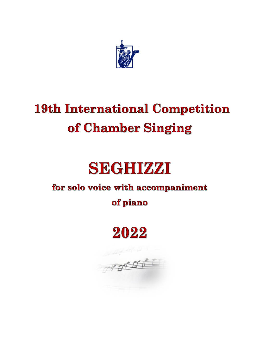

## **19th International Competition** of Chamber Singing

# **SEGHIZZI**

### for solo voice with accompaniment

### of piano

## 2022

or profit for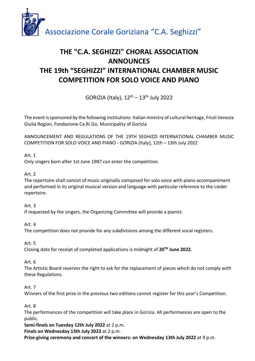

### **THE "C.A. SEGHIZZI" CHORAL ASSOCIATION ANNOUNCES THE 19th "SEGHIZZI" INTERNATIONAL CHAMBER MUSIC COMPETITION FOR SOLO VOICE AND PIANO**

GORIZIA (Italy),  $12<sup>th</sup> - 13<sup>th</sup>$  July 2022

The event is sponsored by the following institutions: Italian ministry of cultural heritage, Friuli Venezia Giulia Region, Fondazione Ca.Ri.Go, Municipality of Gorizia

ANNOUNCEMENT AND REGULATIONS OF THE 19TH SEGHIZZI INTERNATIONAL CHAMBER MUSIC COMPETITION FOR SOLO VOICE AND PIANO - GORIZIA (Italy), 12th – 13th July 2022

#### Art. 1

Only singers born after 1st June 1987 can enter the competition.

#### Art. 2

The repertoire shall consist of music originally composed for solo voice with piano accompaniment and performed in its original musical version and language with particular reference to the Lieder repertoire.

#### Art. 3

If requested by the singers, the Organizing Committee will provide a pianist.

Art. 4

The competition does not provide for any subdivisions among the different vocal registers.

#### Art. 5

Closing date for receipt of completed applications is midnight of **20TH June 2022.** 

#### Art. 6

The Artistic Board reserves the right to ask for the replacement of pieces which do not comply with these Regulations.

#### Art. 7

Winners of the first prize in the previous two editions cannot register for this year's Competition.

Art. 8

The performances of the competition will take place in Gorizia. All performances are open to the public.

**Semi-finals on Tuesday 12th July 2022** at 2 p.m.

**Finals on Wednesday 13th July 2022** at 2 p.m.

**Prize-giving ceremony and concert of the winners: on Wednesday 13th July 2022** at 9 p.m.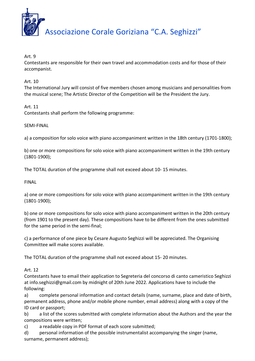

Art. 9

Contestants are responsible for their own travel and accommodation costs and for those of their accompanist.

Art. 10

The International Jury will consist of five members chosen among musicians and personalities from the musical scene; The Artistic Director of the Competition will be the President the Jury.

Art. 11

Contestants shall perform the following programme:

SEMI-FINAL

a) a composition for solo voice with piano accompaniment written in the 18th century (1701-1800);

b) one or more compositions for solo voice with piano accompaniment written in the 19th century (1801-1900);

The TOTAL duration of the programme shall not exceed about 10- 15 minutes.

FINAL

a) one or more compositions for solo voice with piano accompaniment written in the 19th century (1801-1900);

b) one or more compositions for solo voice with piano accompaniment written in the 20th century (from 1901 to the present day). These compositions have to be different from the ones submitted for the same period in the semi-final;

c) a performance of one piece by Cesare Augusto Seghizzi will be appreciated. The Organising Committee will make scores available.

The TOTAL duration of the programme shall not exceed about 15- 20 minutes.

Art. 12

Contestants have to email their application to Segreteria del concorso di canto cameristico Seghizzi at info.seghizzi@gmail.com by midnight of 20th June 2022. Applications have to include the following:

a) complete personal information and contact details (name, surname, place and date of birth, permanent address, phone and/or mobile phone number, email address) along with a copy of the ID card or passport;

b) a list of the scores submitted with complete information about the Authors and the year the compositions were written;

c) a readable copy in PDF format of each score submitted;

d) personal information of the possible instrumentalist accompanying the singer (name, surname, permanent address);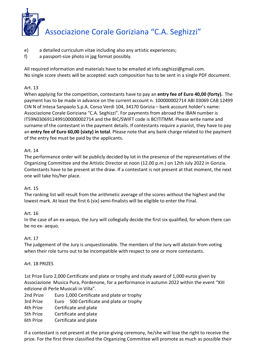

- e) a detailed curriculum vitae including also any artistic experiences;
- f) a passport-size photo in jpg format possibly.

All required information and materials have to be emailed at info.seghizzi@gmail.com. No single score sheets will be accepted: each composition has to be sent in a single PDF document.

#### Art. 13

When applying for the competition, contestants have to pay an **entry fee of Euro 40,00 (forty).** The payment has to be made in advance on the current account n. 100000002714 ABI 03069 CAB 12499 CIN N of Intesa Sanpaolo S.p.A. Corso Verdi 104, 34170 Gorizia – bank account holder's name: Associazione Corale Goriziana "C.A. Seghizzi". For payments from abroad the IBAN number is IT59N0306912499100000002714 and the BIC/SWIFT code is BCITITMM. Please write name and surname of the contestant in the payment details. If contestants require a pianist, they have to pay an **entry fee of Euro 60,00 (sixty) in total**. Please note that any bank charge related to the payment of the entry fee must be paid by the applicants.

#### Art. 14

The performance order will be publicly decided by lot in the presence of the representatives of the Organizing Committee and the Artistic Director at noon (12.00 p.m.) on 12th July 2022 in Gorizia. Contestants have to be present at the draw. If a contestant is not present at that moment, the next one will take his/her place.

#### Art. 15

The ranking list will result from the arithmetic average of the scores without the highest and the lowest mark. At least the first 6 (six) semi-finalists will be eligible to enter the Final.

#### Art. 16

In the case of an ex-aequo, the Jury will collegially decide the first six qualified, for whom there can be no ex- aequo.

#### Art. 17

The judgement of the Jury is unquestionable. The members of the Jury will abstain from voting when their role turns out to be incompatible with respect to one or more contestants.

#### Art. 18 PRIZES

1st Prize Euro 2,000 Certificate and plate or trophy and study award of 1,000 euros given by Associazione Musica Pura, Pordenone, for a performance in autumn 2022 within the event "XIII edizione di Perle Musicali in Villa".

| 2nd Prize | Euro 1,000 Certificate and plate or trophy |  |
|-----------|--------------------------------------------|--|
| 3rd Prize | Euro 500 Certificate and plate or trophy   |  |
| 4th Prize | Certificate and plate                      |  |
| 5th Prize | Certificate and plate                      |  |
| 6th Prize | Certificate and plate                      |  |
|           |                                            |  |

If a contestant is not present at the prize-giving ceremony, he/she will lose the right to receive the prize. For the first three classified the Organizing Committee will promote as much as possible their